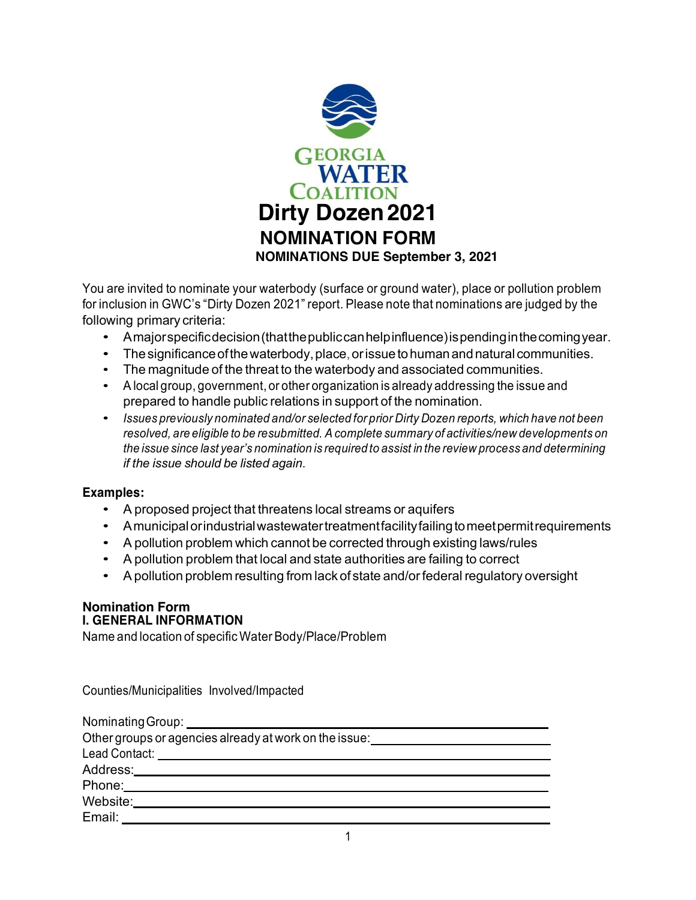

You are invited to nominate your waterbody (surface or ground water), place or pollution problem for inclusion in GWC's "Dirty Dozen 2021" report. Please note that nominations are judged by the following primary criteria:

- Amajorspecificdecision(thatthepubliccanhelpinfluence)ispendinginthecomingyear.
- The significance of the waterbody, place, or issue to human and natural communities.
- The magnitude of the threat to the waterbody and associated communities.
- A local group, government, or other organization is already addressing the issue and prepared to handle public relations in support of the nomination.
- *Issues previously nominated and/or selected for prior Dirty Dozen reports, which have not been resolved, are eligible to be resubmitted. Acomplete summary of activities/new developments on the issue since last year's nomination is required to assist in the review process and determining if the issue should be listed again.*

#### **Examples:**

- A proposed project that threatens local streams or aquifers
- Amunicipalorindustrialwastewatertreatmentfacilityfailingtomeetpermitrequirements
- A pollution problem which cannot be corrected through existing laws/rules
- A pollution problem that local and state authorities are failing to correct
- Apollution problem resulting from lack of state and/orfederal regulatory oversight

#### **Nomination Form I. GENERAL INFORMATION**

Name and location of specific Water Body/Place/Problem

Counties/Municipalities Involved/Impacted

| Nominating Group: _____________________                |
|--------------------------------------------------------|
| Other groups or agencies already at work on the issue: |
|                                                        |
| Address:________________________                       |
| Phone: Note: 2006                                      |
| Website:                                               |
| Email:                                                 |